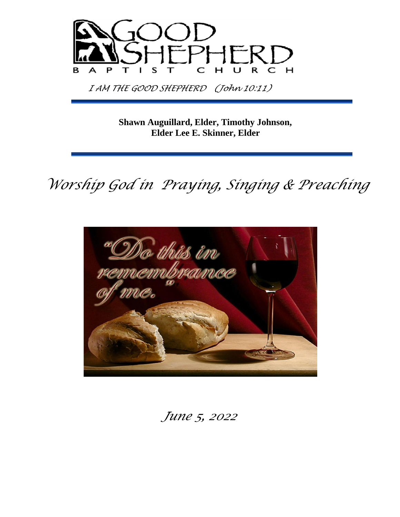

 *I AM THE GOOD SHEPHERD (John 10:11)* 

**Shawn Auguillard, Elder, Timothy Johnson, Elder Lee E. Skinner, Elder**

 *Worship God in Praying, Singing & Preaching*



 *June 5, 2022*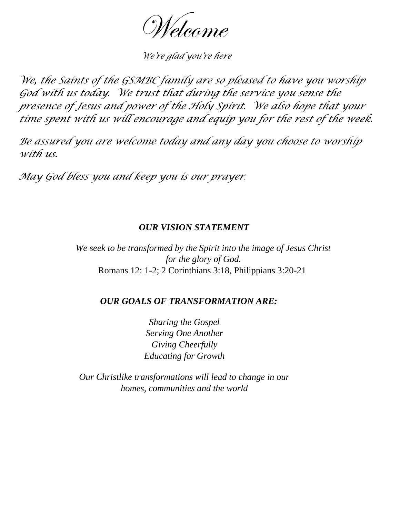Welcome

 *We're glad you're here* 

*We, the Saints of the GSMBC family are so pleased to have you worship God with us today. We trust that during the service you sense the presence of Jesus and power of the Holy Spirit. We also hope that your time spent with us will encourage and equip you for the rest of the week.* 

*Be assured you are welcome today and any day you choose to worship with us.* 

*May God bless you and keep you is our prayer.*

#### *OUR VISION STATEMENT*

*We seek to be transformed by the Spirit into the image of Jesus Christ for the glory of God.*  Romans 12: 1-2; 2 Corinthians 3:18, Philippians 3:20-21

#### *OUR GOALS OF TRANSFORMATION ARE:*

*Sharing the Gospel Serving One Another Giving Cheerfully Educating for Growth* 

*Our Christlike transformations will lead to change in our homes, communities and the world*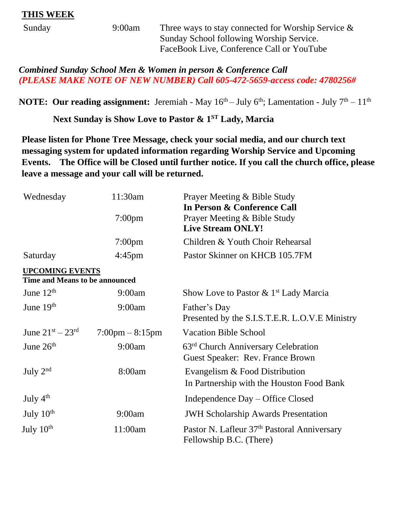### **THIS WEEK**

| Sunday | 9:00am | Three ways to stay connected for Worship Service $\&$ |
|--------|--------|-------------------------------------------------------|
|        |        | Sunday School following Worship Service.              |
|        |        | FaceBook Live, Conference Call or YouTube             |

*Combined Sunday School Men & Women in person & Conference Call (PLEASE MAKE NOTE OF NEW NUMBER) Call 605-472-5659-access code: 4780256#*

**NOTE: Our reading assignment:** Jeremiah - May  $16<sup>th</sup>$ - July  $6<sup>th</sup>$ ; Lamentation - July  $7<sup>th</sup>$ -  $11<sup>th</sup>$ 

**Next Sunday is Show Love to Pastor & 1ST Lady, Marcia**

**Please listen for Phone Tree Message, check your social media, and our church text messaging system for updated information regarding Worship Service and Upcoming Events. The Office will be Closed until further notice. If you call the church office, please leave a message and your call will be returned.**

| Wednesday                                                | 11:30am                           | Prayer Meeting & Bible Study<br>In Person & Conference Call                         |
|----------------------------------------------------------|-----------------------------------|-------------------------------------------------------------------------------------|
|                                                          | $7:00$ pm                         | Prayer Meeting & Bible Study<br><b>Live Stream ONLY!</b>                            |
|                                                          | $7:00$ pm                         | Children & Youth Choir Rehearsal                                                    |
| Saturday                                                 | $4:45 \text{pm}$                  | Pastor Skinner on KHCB 105.7FM                                                      |
| <b>UPCOMING EVENTS</b><br>Time and Means to be announced |                                   |                                                                                     |
| June $12th$                                              | 9:00am                            | Show Love to Pastor $\&$ 1 <sup>st</sup> Lady Marcia                                |
| June 19th                                                | 9:00am                            | Father's Day<br>Presented by the S.I.S.T.E.R. L.O.V.E Ministry                      |
| June $21^{st} - 23^{rd}$                                 | $7:00 \text{pm} - 8:15 \text{pm}$ | <b>Vacation Bible School</b>                                                        |
| June $26th$                                              | 9:00am                            | 63 <sup>rd</sup> Church Anniversary Celebration<br>Guest Speaker: Rev. France Brown |
| July $2nd$                                               | 8:00am                            | Evangelism & Food Distribution<br>In Partnership with the Houston Food Bank         |
| July $4th$                                               |                                   | Independence Day – Office Closed                                                    |
| July $10th$                                              | 9:00am                            | <b>JWH Scholarship Awards Presentation</b>                                          |
| July 10 <sup>th</sup>                                    | 11:00am                           | Pastor N. Lafleur 37 <sup>th</sup> Pastoral Anniversary<br>Fellowship B.C. (There)  |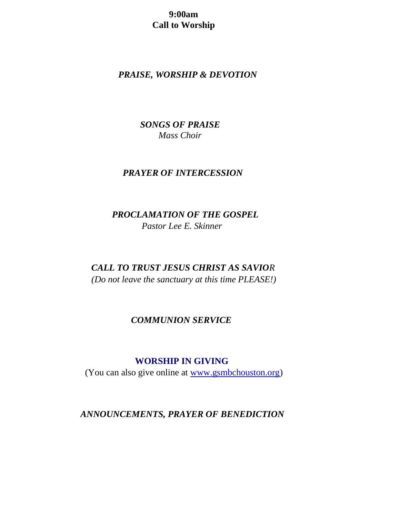**9:00am** **Call to Worship** 

# *PRAISE, WORSHIP & DEVOTION*

 *SONGS OF PRAISE Mass Choir*

#### *PRAYER OF INTERCESSION*

 *PROCLAMATION OF THE GOSPEL Pastor Lee E. Skinner*

 *CALL TO TRUST JESUS CHRIST AS SAVIOR (Do not leave the sanctuary at this time PLEASE!)* 

### *COMMUNION SERVICE*

#### **WORSHIP IN GIVING**

(You can also give online at [www.gsmbchouston.org\)](http://www.gsmbchouston.org/)

*ANNOUNCEMENTS, PRAYER OF BENEDICTION*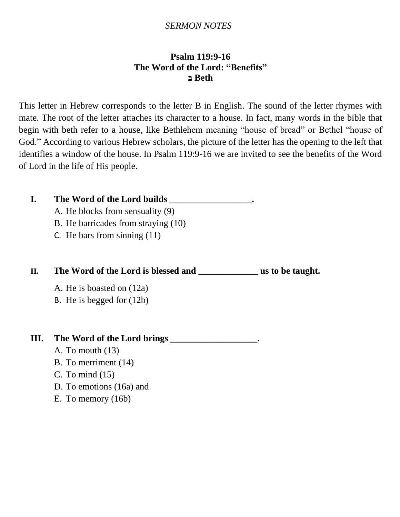### *SERMON NOTES*

## **Psalm 119:9-16 The Word of the Lord: "Benefits" Beth ב**

This letter in Hebrew corresponds to the letter B in English. The sound of the letter rhymes with mate. The root of the letter attaches its character to a house. In fact, many words in the bible that begin with beth refer to a house, like Bethlehem meaning "house of bread" or Bethel "house of God." According to various Hebrew scholars, the picture of the letter has the opening to the left that identifies a window of the house. In Psalm 119:9-16 we are invited to see the benefits of the Word of Lord in the life of His people.

# **I. The Word of the Lord builds \_\_\_\_\_\_\_\_\_\_\_\_\_\_\_\_\_\_.**

- A. He blocks from sensuality (9)
- B. He barricades from straying (10)
- C. He bars from sinning (11)

# **II. The Word of the Lord is blessed and \_\_\_\_\_\_\_\_\_\_\_\_\_ us to be taught.**

- A. He is boasted on (12a)
- B. He is begged for (12b)

# **III. The Word of the Lord brings \_\_\_\_\_\_\_\_\_\_\_\_\_\_\_\_\_\_\_.**

- A. To mouth (13)
- B. To merriment (14)
- C. To mind (15)
- D. To emotions (16a) and
- E. To memory (16b)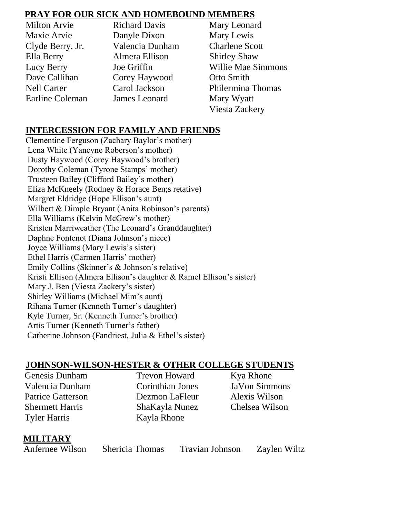# **PRAY FOR OUR SICK AND HOMEBOUND MEMBERS**

| <b>Milton Arvie</b> | <b>Richard Davis</b> | Mary Leonard              |
|---------------------|----------------------|---------------------------|
| Maxie Arvie         | Danyle Dixon         | Mary Lewis                |
| Clyde Berry, Jr.    | Valencia Dunham      | <b>Charlene Scott</b>     |
| Ella Berry          | Almera Ellison       | <b>Shirley Shaw</b>       |
| Lucy Berry          | Joe Griffin          | <b>Willie Mae Simmons</b> |
| Dave Callihan       | Corey Haywood        | Otto Smith                |
| <b>Nell Carter</b>  | Carol Jackson        | Philermina Thomas         |
| Earline Coleman     | James Leonard        | Mary Wyatt                |
|                     |                      | <b>Viesta Zackery</b>     |

# **INTERCESSION FOR FAMILY AND FRIENDS**

 Clementine Ferguson (Zachary Baylor's mother) Lena White (Yancyne Roberson's mother) Dusty Haywood (Corey Haywood's brother) Dorothy Coleman (Tyrone Stamps' mother) Trusteen Bailey (Clifford Bailey's mother) Eliza McKneely (Rodney & Horace Ben;s retative) Margret Eldridge (Hope Ellison's aunt) Wilbert & Dimple Bryant (Anita Robinson's parents) Ella Williams (Kelvin McGrew's mother) Kristen Marriweather (The Leonard's Granddaughter) Daphne Fontenot (Diana Johnson's niece) Joyce Williams (Mary Lewis's sister) Ethel Harris (Carmen Harris' mother) Emily Collins (Skinner's & Johnson's relative) Kristi Ellison (Almera Ellison's daughter & Ramel Ellison's sister) Mary J. Ben (Viesta Zackery's sister) Shirley Williams (Michael Mim's aunt) Rihana Turner (Kenneth Turner's daughter) Kyle Turner, Sr. (Kenneth Turner's brother) Artis Turner (Kenneth Turner's father) Catherine Johnson (Fandriest, Julia & Ethel's sister)

# **JOHNSON-WILSON-HESTER & OTHER COLLEGE STUDENTS**

Genesis Dunham Trevon Howard Kya Rhone Valencia Dunham Corinthian Jones JaVon Simmons Patrice Gatterson Dezmon LaFleur Alexis Wilson Shermett Harris ShaKayla Nunez Chelsea Wilson Tyler Harris Kayla Rhone

# **MILITARY**

Anfernee Wilson Shericia Thomas Travian Johnson Zaylen Wiltz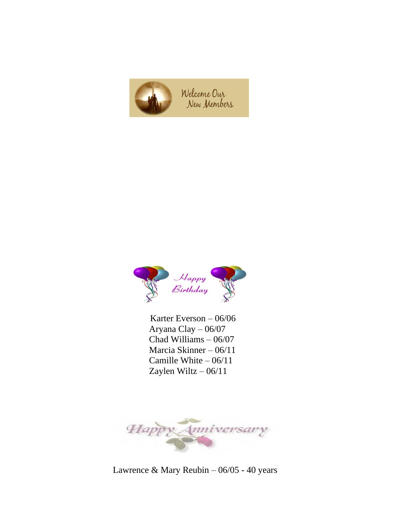



 Karter Everson – 06/06 Aryana Clay – 06/07 Chad Williams – 06/07 Marcia Skinner – 06/11 Camille White – 06/11 Zaylen Wiltz – 06/11



Lawrence & Mary Reubin – 06/05 - 40 years